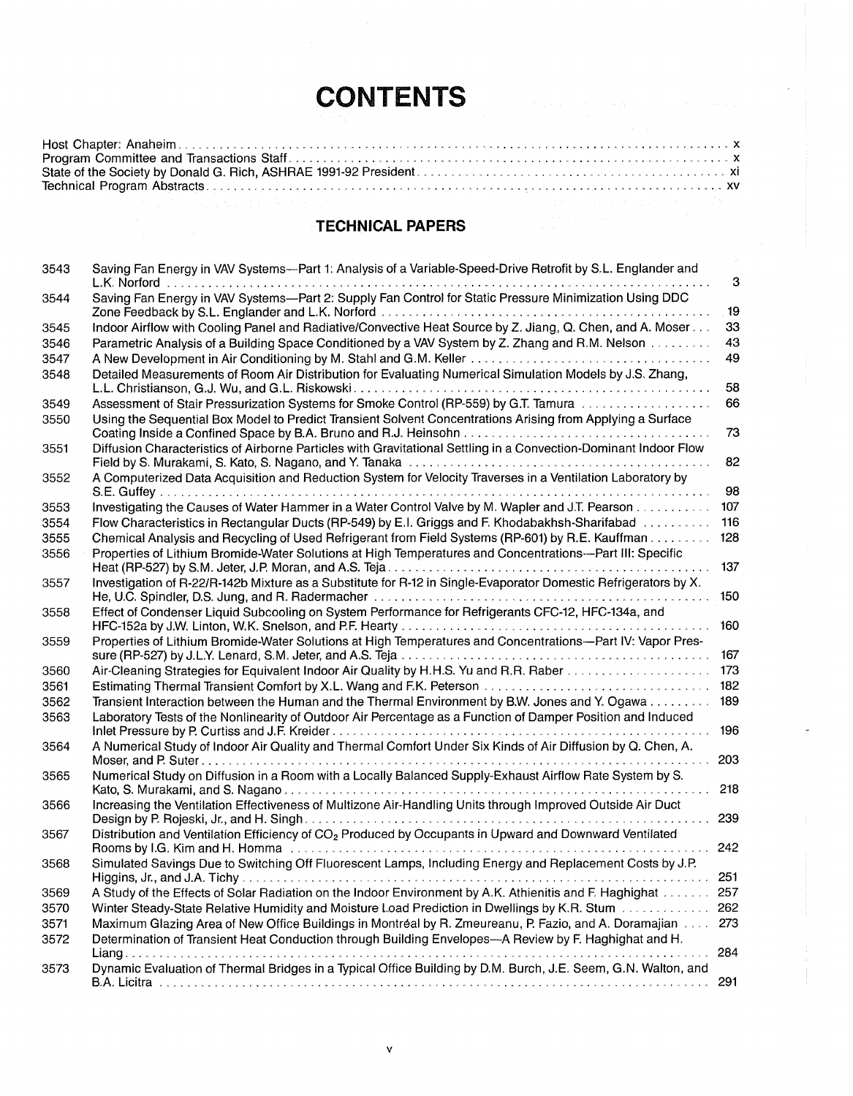# **CONTENTS**

## **TECHNICAL PAPERS**

| 3543 | Saving Fan Energy in VAV Systems--Part 1: Analysis of a Variable-Speed-Drive Retrofit by S.L. Englander and                                          |              |
|------|------------------------------------------------------------------------------------------------------------------------------------------------------|--------------|
|      | L.K. Norford                                                                                                                                         | $\mathbf{3}$ |
| 3544 | Saving Fan Energy in VAV Systems--Part 2: Supply Fan Control for Static Pressure Minimization Using DDC                                              | 19           |
| 3545 | Indoor Airflow with Cooling Panel and Radiative/Convective Heat Source by Z. Jiang, Q. Chen, and A. Moser                                            | 33           |
| 3546 | Parametric Analysis of a Building Space Conditioned by a VAV System by Z. Zhang and R.M. Nelson                                                      | 43           |
| 3547 |                                                                                                                                                      | 49           |
| 3548 | Detailed Measurements of Room Air Distribution for Evaluating Numerical Simulation Models by J.S. Zhang,                                             |              |
|      |                                                                                                                                                      | 58           |
| 3549 |                                                                                                                                                      | 66           |
| 3550 | Using the Sequential Box Model to Predict Transient Solvent Concentrations Arising from Applying a Surface                                           | 73           |
| 3551 | Diffusion Characteristics of Airborne Particles with Gravitational Settling in a Convection-Dominant Indoor Flow                                     | 82           |
| 3552 | A Computerized Data Acquisition and Reduction System for Velocity Traverses in a Ventilation Laboratory by                                           | 98           |
| 3553 | Investigating the Causes of Water Hammer in a Water Control Valve by M. Wapler and J.T. Pearson                                                      | 107          |
| 3554 | Flow Characteristics in Rectangular Ducts (RP-549) by E.I. Griggs and F. Khodabakhsh-Sharifabad                                                      | 116          |
| 3555 | Chemical Analysis and Recycling of Used Refrigerant from Field Systems (RP-601) by R.E. Kauffman                                                     | 128          |
| 3556 | Properties of Lithium Bromide-Water Solutions at High Temperatures and Concentrations--- Part III: Specific                                          | 137          |
| 3557 | Investigation of R-22/R-142b Mixture as a Substitute for R-12 in Single-Evaporator Domestic Refrigerators by X.                                      | 150          |
| 3558 | Effect of Condenser Liquid Subcooling on System Performance for Refrigerants CFC-12, HFC-134a, and                                                   | 160          |
| 3559 | Properties of Lithium Bromide-Water Solutions at High Temperatures and Concentrations--Part IV: Vapor Pres-                                          |              |
| 3560 |                                                                                                                                                      |              |
| 3561 |                                                                                                                                                      |              |
| 3562 | Transient Interaction between the Human and the Thermal Environment by B.W. Jones and Y. Ogawa 189                                                   |              |
| 3563 | Laboratory Tests of the Nonlinearity of Outdoor Air Percentage as a Function of Damper Position and Induced                                          | 196          |
| 3564 | A Numerical Study of Indoor Air Quality and Thermal Comfort Under Six Kinds of Air Diffusion by Q. Chen, A.                                          |              |
|      |                                                                                                                                                      | 203          |
| 3565 | Numerical Study on Diffusion in a Room with a Locally Balanced Supply-Exhaust Airflow Rate System by S.                                              | 218          |
| 3566 | Increasing the Ventilation Effectiveness of Multizone Air-Handling Units through Improved Outside Air Duct                                           | 239          |
| 3567 | Distribution and Ventilation Efficiency of CO <sub>2</sub> Produced by Occupants in Upward and Downward Ventilated<br>Rooms by I.G. Kim and H. Homma | 242          |
| 3568 | Simulated Savings Due to Switching Off Fluorescent Lamps, Including Energy and Replacement Costs by J.P.                                             | 251          |
| 3569 | A Study of the Effects of Solar Radiation on the Indoor Environment by A.K. Athienitis and F. Haghighat                                              | 257          |
| 3570 | Winter Steady-State Relative Humidity and Moisture Load Prediction in Dwellings by K.R. Stum                                                         | 262          |
| 3571 | Maximum Glazing Area of New Office Buildings in Montréal by R. Zmeureanu, P. Fazio, and A. Doramajian                                                | 273          |
| 3572 | Determination of Transient Heat Conduction through Building Envelopes-A Review by F. Haghighat and H.                                                | 284          |
| 3573 | Dynamic Evaluation of Thermal Bridges in a Typical Office Building by D.M. Burch, J.E. Seem, G.N. Walton, and                                        |              |
|      |                                                                                                                                                      | 291          |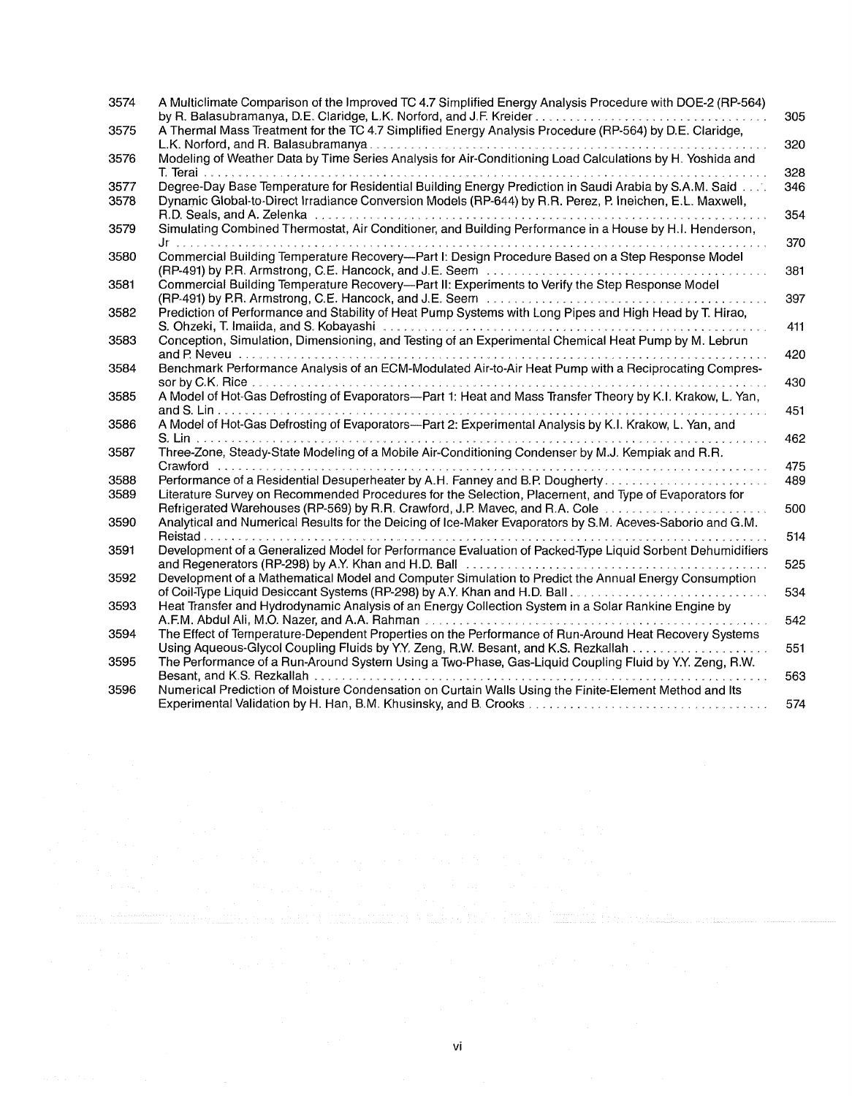| 3574 | A Multiclimate Comparison of the Improved TC 4.7 Simplified Energy Analysis Procedure with DOE-2 (RP-564)                                                                                                                      | 305 |
|------|--------------------------------------------------------------------------------------------------------------------------------------------------------------------------------------------------------------------------------|-----|
| 3575 | A Thermal Mass Treatment for the TC 4.7 Simplified Energy Analysis Procedure (RP-564) by D.E. Claridge,                                                                                                                        |     |
|      |                                                                                                                                                                                                                                | 320 |
| 3576 | Modeling of Weather Data by Time Series Analysis for Air-Conditioning Load Calculations by H. Yoshida and                                                                                                                      | 328 |
| 3577 | Degree-Day Base Temperature for Residential Building Energy Prediction in Saudi Arabia by S.A.M. Said                                                                                                                          | 346 |
| 3578 | Dynamic Global-to-Direct Irradiance Conversion Models (RP-644) by R.R. Perez, P. Ineichen, E.L. Maxwell,                                                                                                                       |     |
|      |                                                                                                                                                                                                                                | 354 |
| 3579 | Simulating Combined Thermostat, Air Conditioner, and Building Performance in a House by H.I. Henderson,                                                                                                                        |     |
| 3580 | Commercial Building Temperature Recovery—Part I: Design Procedure Based on a Step Response Model                                                                                                                               | 370 |
|      |                                                                                                                                                                                                                                | 381 |
| 3581 | Commercial Building Temperature Recovery--Part II: Experiments to Verify the Step Response Model                                                                                                                               |     |
|      |                                                                                                                                                                                                                                | 397 |
| 3582 | Prediction of Performance and Stability of Heat Pump Systems with Long Pipes and High Head by T. Hirao,                                                                                                                        |     |
|      |                                                                                                                                                                                                                                | 411 |
| 3583 | Conception, Simulation, Dimensioning, and Testing of an Experimental Chemical Heat Pump by M. Lebrun                                                                                                                           | 420 |
| 3584 | Benchmark Performance Analysis of an ECM-Modulated Air-to-Air Heat Pump with a Reciprocating Compres-                                                                                                                          |     |
|      |                                                                                                                                                                                                                                | 430 |
| 3585 | A Model of Hot-Gas Defrosting of Evaporators--Part 1: Heat and Mass Transfer Theory by K.I. Krakow, L. Yan,                                                                                                                    |     |
|      | A Model of Hot-Gas Defrosting of Evaporators--Part 2: Experimental Analysis by K.I. Krakow, L. Yan, and                                                                                                                        | 451 |
| 3586 | .                                                                                                                                                                                                                              | 462 |
| 3587 | Three-Zone, Steady-State Modeling of a Mobile Air-Conditioning Condenser by M.J. Kempiak and R.R.                                                                                                                              |     |
|      | Crawford                                                                                                                                                                                                                       | 475 |
| 3588 |                                                                                                                                                                                                                                | 489 |
| 3589 | Literature Survey on Recommended Procedures for the Selection, Placement, and Type of Evaporators for                                                                                                                          |     |
|      | Refrigerated Warehouses (RP-569) by R.R. Crawford, J.P. Mavec, and R.A. Cole [10] (100] (100] (100] Refrigerated Warehouses (RP-569) by R.R. Crawford, J.P. Mavec, and R.A. Cole [10] (100] (100] (100] (100] (100] (100] (100 | 500 |
| 3590 | Analytical and Numerical Results for the Deicing of Ice-Maker Evaporators by S.M. Aceves-Saborio and G.M.                                                                                                                      |     |
|      |                                                                                                                                                                                                                                | 514 |
| 3591 | Development of a Generalized Model for Performance Evaluation of Packed-Type Liquid Sorbent Dehumidifiers                                                                                                                      |     |
| 3592 | and Regenerators (RP-298) by A.Y. Khan and H.D. Ball<br>Development of a Mathematical Model and Computer Simulation to Predict the Annual Energy Consumption                                                                   | 525 |
|      |                                                                                                                                                                                                                                | 534 |
| 3593 | Heat Transfer and Hydrodynamic Analysis of an Energy Collection System in a Solar Rankine Engine by                                                                                                                            |     |
|      |                                                                                                                                                                                                                                | 542 |
| 3594 | The Effect of Temperature-Dependent Properties on the Performance of Run-Around Heat Recovery Systems                                                                                                                          |     |
|      | Using Aqueous-Glycol Coupling Fluids by Y.Y. Zeng, R.W. Besant, and K.S. Rezkallah                                                                                                                                             | 551 |
| 3595 | The Performance of a Run-Around System Using a Two-Phase, Gas-Liquid Coupling Fluid by Y.Y. Zeng, R.W.                                                                                                                         |     |
|      | Besant, and K.S. Rezkallah                                                                                                                                                                                                     | 563 |
| 3596 | Numerical Prediction of Moisture Condensation on Curtain Walls Using the Finite-Element Method and Its                                                                                                                         |     |
|      |                                                                                                                                                                                                                                | 574 |

 $\mathcal{L}_{\mathcal{L}}$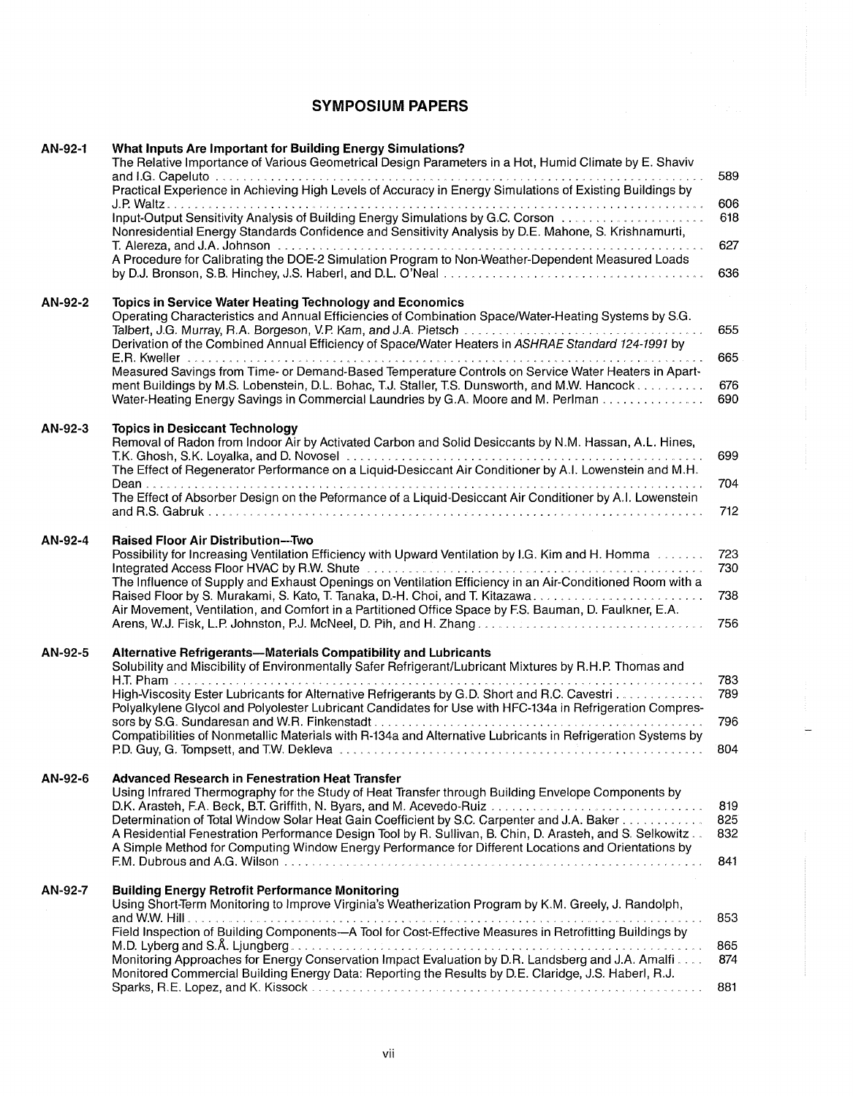### **SYMPOSIUM PAPERS**

| AN-92-1 | What Inputs Are Important for Building Energy Simulations?<br>The Relative Importance of Various Geometrical Design Parameters in a Hot, Humid Climate by E. Shaviv<br>Practical Experience in Achieving High Levels of Accuracy in Energy Simulations of Existing Buildings by                                                                                                                                                                                                                                                                                                        | 589                      |
|---------|----------------------------------------------------------------------------------------------------------------------------------------------------------------------------------------------------------------------------------------------------------------------------------------------------------------------------------------------------------------------------------------------------------------------------------------------------------------------------------------------------------------------------------------------------------------------------------------|--------------------------|
|         | Nonresidential Energy Standards Confidence and Sensitivity Analysis by D.E. Mahone, S. Krishnamurti,                                                                                                                                                                                                                                                                                                                                                                                                                                                                                   | 606<br>618               |
|         | A Procedure for Calibrating the DOE-2 Simulation Program to Non-Weather-Dependent Measured Loads                                                                                                                                                                                                                                                                                                                                                                                                                                                                                       | 627<br>636               |
| AN-92-2 | Topics in Service Water Heating Technology and Economics<br>Operating Characteristics and Annual Efficiencies of Combination Space/Water-Heating Systems by S.G.<br>Derivation of the Combined Annual Efficiency of Space/Water Heaters in ASHRAE Standard 124-1991 by<br>Measured Savings from Time- or Demand-Based Temperature Controls on Service Water Heaters in Apart-<br>ment Buildings by M.S. Lobenstein, D.L. Bohac, T.J. Staller, T.S. Dunsworth, and M.W. Hancock<br>Water-Heating Energy Savings in Commercial Laundries by G.A. Moore and M. Perlman                    | 655<br>665<br>676<br>690 |
| AN-92-3 | <b>Topics in Desiccant Technology</b><br>Removal of Radon from Indoor Air by Activated Carbon and Solid Desiccants by N.M. Hassan, A.L. Hines,<br>The Effect of Regenerator Performance on a Liquid-Desiccant Air Conditioner by A.I. Lowenstein and M.H.<br>The Effect of Absorber Design on the Peformance of a Liquid-Desiccant Air Conditioner by A.I. Lowenstein                                                                                                                                                                                                                  | 699<br>704<br>712        |
| AN-92-4 | <b>Raised Floor Air Distribution---Two</b><br>Possibility for Increasing Ventilation Efficiency with Upward Ventilation by I.G. Kim and H. Homma<br>Integrated Access Floor HVAC by R.W. Shute <b>Constitution Construct Construct Access</b> Floor HVAC by R.W. Shute <b>Constitution</b><br>The Influence of Supply and Exhaust Openings on Ventilation Efficiency in an Air-Conditioned Room with a<br>Air Movement, Ventilation, and Comfort in a Partitioned Office Space by F.S. Bauman, D. Faulkner, E.A.<br>Arens, W.J. Fisk, L.P. Johnston, P.J. McNeel, D. Pih, and H. Zhang | 723<br>730<br>738<br>756 |
| AN-92-5 | Alternative Refrigerants-Materials Compatibility and Lubricants<br>Solubility and Miscibility of Environmentally Safer Refrigerant/Lubricant Mixtures by R.H.P. Thomas and<br>High-Viscosity Ester Lubricants for Alternative Refrigerants by G.D. Short and R.C. Cavestri<br>Polyalkylene Glycol and Polyolester Lubricant Candidates for Use with HFC-134a in Refrigeration Compres-<br>Compatibilities of Nonmetallic Materials with R-134a and Alternative Lubricants in Refrigeration Systems by                                                                                  | 783<br>789<br>796<br>804 |
| AN-92-6 | <b>Advanced Research in Fenestration Heat Transfer</b><br>Using Infrared Thermography for the Study of Heat Transfer through Building Envelope Components by<br>D.K. Arasteh, F.A. Beck, B.T. Griffith, N. Byars, and M. Acevedo-Ruiz<br>Determination of Total Window Solar Heat Gain Coefficient by S.C. Carpenter and J.A. Baker<br>A Residential Fenestration Performance Design Tool by R. Sullivan, B. Chin, D. Arasteh, and S. Selkowitz<br>A Simple Method for Computing Window Energy Performance for Different Locations and Orientations by                                 | 819<br>825<br>832<br>841 |
| AN-92-7 | <b>Building Energy Retrofit Performance Monitoring</b><br>Using Short-Term Monitoring to Improve Virginia's Weatherization Program by K.M. Greely, J. Randolph,<br>Field Inspection of Building Components-A Tool for Cost-Effective Measures in Retrofitting Buildings by<br>Monitoring Approaches for Energy Conservation Impact Evaluation by D.R. Landsberg and J.A. Amalfi<br>Monitored Commercial Building Energy Data: Reporting the Results by D.E. Claridge, J.S. Haberl, R.J.                                                                                                | 853<br>865<br>874<br>881 |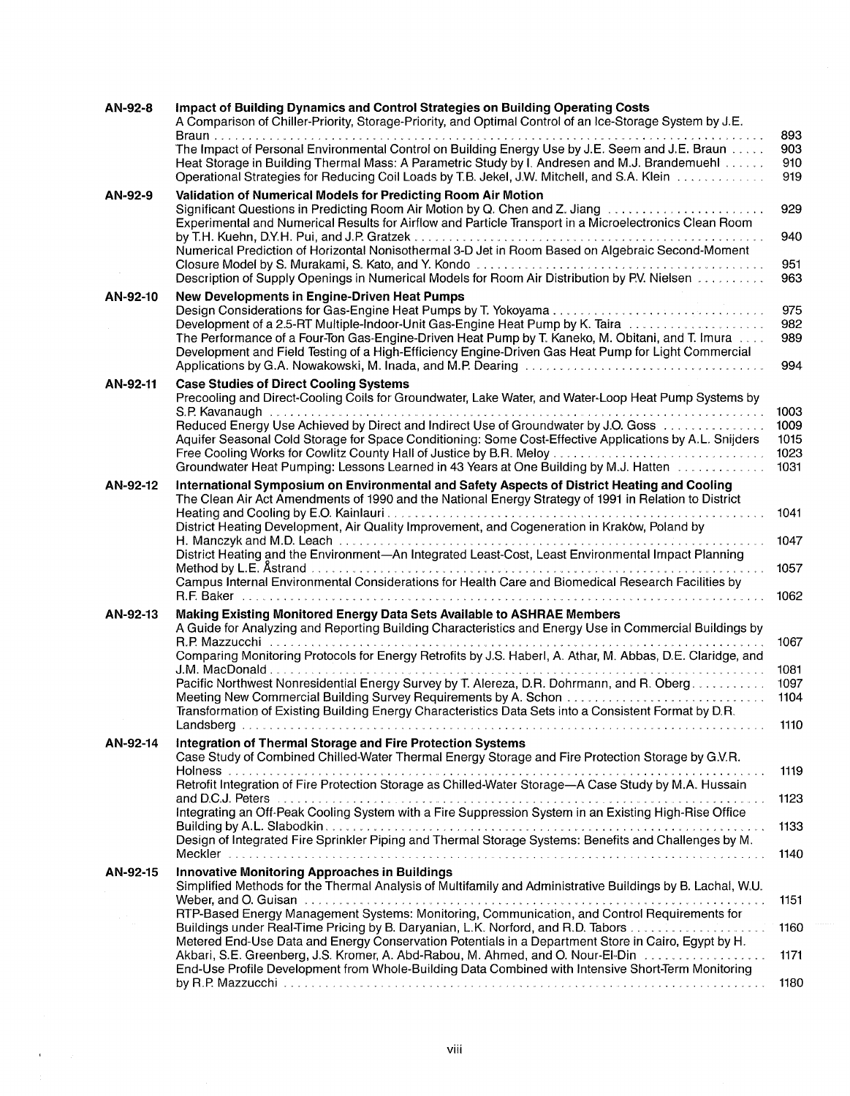| AN-92-8  | Impact of Building Dynamics and Control Strategies on Building Operating Costs<br>A Comparison of Chiller-Priority, Storage-Priority, and Optimal Control of an Ice-Storage System by J.E.<br>. <b>.</b>                                                                                                                                                                                                                                                                                                                                                                                                                                               | 893                                  |
|----------|--------------------------------------------------------------------------------------------------------------------------------------------------------------------------------------------------------------------------------------------------------------------------------------------------------------------------------------------------------------------------------------------------------------------------------------------------------------------------------------------------------------------------------------------------------------------------------------------------------------------------------------------------------|--------------------------------------|
|          | The Impact of Personal Environmental Control on Building Energy Use by J.E. Seem and J.E. Braun<br>Heat Storage in Building Thermal Mass: A Parametric Study by I. Andresen and M.J. Brandemuehl<br>Operational Strategies for Reducing Coil Loads by T.B. Jekel, J.W. Mitchell, and S.A. Klein                                                                                                                                                                                                                                                                                                                                                        | 903<br>910<br>919                    |
| AN-92-9  | Validation of Numerical Models for Predicting Room Air Motion<br>Significant Questions in Predicting Room Air Motion by Q. Chen and Z. Jiang<br>Experimental and Numerical Results for Airflow and Particle Transport in a Microelectronics Clean Room                                                                                                                                                                                                                                                                                                                                                                                                 | 929                                  |
|          | Numerical Prediction of Horizontal Nonisothermal 3-D Jet in Room Based on Algebraic Second-Moment<br>Description of Supply Openings in Numerical Models for Room Air Distribution by P.V. Nielsen                                                                                                                                                                                                                                                                                                                                                                                                                                                      | 940<br>951<br>963                    |
| AN-92-10 | New Developments in Engine-Driven Heat Pumps<br>Development of a 2.5-RT Multiple-Indoor-Unit Gas-Engine Heat Pump by K. Taira<br>The Performance of a Four-Ton Gas-Engine-Driven Heat Pump by T. Kaneko, M. Obitani, and T. Imura<br>Development and Field Testing of a High-Efficiency Engine-Driven Gas Heat Pump for Light Commercial                                                                                                                                                                                                                                                                                                               | 975<br>982<br>989<br>994             |
| AN-92-11 | <b>Case Studies of Direct Cooling Systems</b><br>Precooling and Direct-Cooling Coils for Groundwater, Lake Water, and Water-Loop Heat Pump Systems by<br>S.P. Kavanaugh<br>Reduced Energy Use Achieved by Direct and Indirect Use of Groundwater by J.O. Goss<br>Aquifer Seasonal Cold Storage for Space Conditioning: Some Cost-Effective Applications by A.L. Snijders<br>Free Cooling Works for Cowlitz County Hall of Justice by B.R. Meloy<br>Groundwater Heat Pumping: Lessons Learned in 43 Years at One Building by M.J. Hatten                                                                                                                | 1003<br>1009<br>1015<br>1023<br>1031 |
| AN-92-12 | International Symposium on Environmental and Safety Aspects of District Heating and Cooling<br>The Clean Air Act Amendments of 1990 and the National Energy Strategy of 1991 in Relation to District<br>District Heating Development, Air Quality Improvement, and Cogeneration in Krakow, Poland by<br>District Heating and the Environment-An Integrated Least-Cost, Least Environmental Impact Planning<br>Campus Internal Environmental Considerations for Health Care and Biomedical Research Facilities by                                                                                                                                       | 1041<br>1047<br>1057<br>1062         |
| AN-92-13 | Making Existing Monitored Energy Data Sets Available to ASHRAE Members<br>A Guide for Analyzing and Reporting Building Characteristics and Energy Use in Commercial Buildings by<br>R.P. Mazzucchi<br>Comparing Monitoring Protocols for Energy Retrofits by J.S. Haberl, A. Athar, M. Abbas, D.E. Claridge, and<br>Pacific Northwest Nonresidential Energy Survey by T. Alereza, D.R. Dohrmann, and R. Oberg.<br>Transformation of Existing Building Energy Characteristics Data Sets into a Consistent Format by D.R.                                                                                                                                | 1067<br>1081<br>1097<br>1104<br>1110 |
| AN-92-14 | Integration of Thermal Storage and Fire Protection Systems<br>Case Study of Combined Chilled-Water Thermal Energy Storage and Fire Protection Storage by G.V.R.<br>Retrofit Integration of Fire Protection Storage as Chilled-Water Storage-A Case Study by M.A. Hussain<br>and D.C.J. Peters $\ldots \ldots \ldots \ldots \ldots \ldots \ldots$<br>Integrating an Off-Peak Cooling System with a Fire Suppression System in an Existing High-Rise Office<br>Design of Integrated Fire Sprinkler Piping and Thermal Storage Systems: Benefits and Challenges by M.                                                                                     | 1119<br>1123<br>1133<br>1140         |
| AN-92-15 | <b>Innovative Monitoring Approaches in Buildings</b><br>Simplified Methods for the Thermal Analysis of Multifamily and Administrative Buildings by B. Lachal, W.U.<br>RTP-Based Energy Management Systems: Monitoring, Communication, and Control Requirements for<br>Buildings under Real-Time Pricing by B. Daryanian, L.K. Norford, and R.D. Tabors<br>Metered End-Use Data and Energy Conservation Potentials in a Department Store in Cairo, Egypt by H.<br>Akbari, S.E. Greenberg, J.S. Kromer, A. Abd-Rabou, M. Ahmed, and O. Nour-El-Din<br>End-Use Profile Development from Whole-Building Data Combined with Intensive Short-Term Monitoring | 1151<br>1160<br>1171                 |
|          |                                                                                                                                                                                                                                                                                                                                                                                                                                                                                                                                                                                                                                                        | 1180                                 |

 $\hat{\mathbf{C}}$  , where